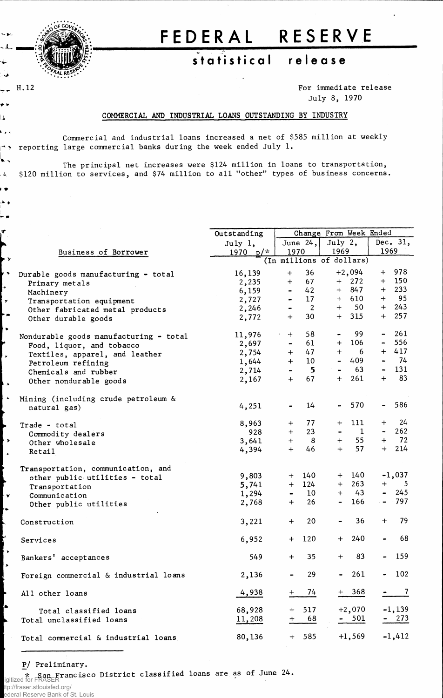

 $H.12$ 

 $\sim$  80.  $-1$ .

ف

٣¥  $\mathbf{r}$ بدلونا

 $\Delta$ i o م خر ∽ •

ř

٣Ÿ , , L.  $\mathbf{r}$ ⊦ = ۱.

Ļ,  $\overline{\phantom{a}}$ 

∤ , ∣∡

┞ѵ ı.

╞╺ د |

# **FEDERA L RESERV E**

### $statistical$  release

**For immediate release July 8, 1970**

#### **COMMERCIAL AND INDUSTRIAL LOANS OUTSTANDING BY INDUSTRY**

**Commercial and industrial loans increased a net of \$585 million at weekly > reporting large commercial banks during the week ended July 1.**

**^ The principal net increases were \$124 million in loans to transportation, \$120 million to services, and \$74 million to all "other" types of business concerns.**

|                                        | Outstanding | Change From Week Ended       |                          |                          |          |                |               |  |  |
|----------------------------------------|-------------|------------------------------|--------------------------|--------------------------|----------|----------------|---------------|--|--|
|                                        | July 1,     | June $24,$<br>July $2$ ,     |                          |                          | Dec. 31, |                |               |  |  |
| Business of Borrower                   | 1970 $p/*$  | 1970                         |                          | 1969                     |          | 1969           |               |  |  |
|                                        |             |                              |                          | (In millions of dollars) |          |                |               |  |  |
| Durable goods manufacturing - total    | 16,139      | $+$                          | 36                       |                          | $+2,094$ |                | + 978         |  |  |
| Primary metals                         | 2,235       | $+$                          | 67                       |                          | $+$ 272  |                | $+$ 150       |  |  |
| Machinery                              | 6,159       | $\qquad \qquad \blacksquare$ | 42                       |                          | $+ 847$  |                | $+ 233$       |  |  |
| Transportation equipment               | 2,727       | $\blacksquare$               | 17                       |                          | $+$ 610  |                | $+$ 95        |  |  |
| Other fabricated metal products        | 2,246       | $\blacksquare$               | $\overline{\phantom{a}}$ |                          | $+ 50$   |                | $+ 243$       |  |  |
| Other durable goods                    | 2,772       | $+$                          | 30                       |                          | $+ 315$  |                | $+ 257$       |  |  |
|                                        |             |                              |                          |                          |          |                |               |  |  |
| Nondurable goods manufacturing - total | 11,976      | $+$                          | 58                       |                          | 99       |                | $-261$        |  |  |
| Food, liquor, and tobacco              | 2,697       | $\blacksquare$               | 61                       |                          | $+ 106$  | $\blacksquare$ | 556           |  |  |
| Textiles, apparel, and leather         | 2,754       | $+$                          | 47                       | $+$ $-$                  | -6       |                | $+ 417$       |  |  |
| Petroleum refining                     | 1,644       | $+$                          | 10                       |                          | 409      |                | $-74$         |  |  |
| Chemicals and rubber                   | 2,714       |                              | $\overline{\phantom{0}}$ |                          | 63       | $\sim$         | 131           |  |  |
| Other nondurable goods                 | 2,167       | $+$                          | 67                       | $+$                      | 261      | $^{+}$         | 83            |  |  |
|                                        |             |                              |                          |                          |          |                |               |  |  |
| Mining (including crude petroleum &    |             |                              |                          |                          |          |                |               |  |  |
| natural gas)                           | 4,251       | $\qquad \qquad \blacksquare$ | 14                       | $\blacksquare$           | 570      | $\sim$ $\sim$  | 586           |  |  |
|                                        |             |                              |                          |                          |          |                |               |  |  |
| Trade - total                          | 8,963       | $+$                          | 77                       | $+$                      | 111      | $+$            | 24            |  |  |
| Commodity dealers                      | 928         | $+$                          | 23                       |                          | 1        | $\sim$         | 262           |  |  |
| Other wholesale                        | 3,641       | $+$                          | $_{\rm 8}$               | $+$                      | 55       |                | $+ 72$        |  |  |
| Retail                                 | 4,394       | $+$                          | 46                       | $+$                      | 57       | $+$            | 214           |  |  |
|                                        |             |                              |                          |                          |          |                |               |  |  |
| Transportation, communication, and     |             |                              |                          |                          |          |                |               |  |  |
| other public utilities - total         | 9,803       | $+$                          | 140                      |                          | + 140    |                | $-1,037$      |  |  |
| Transportation                         | 5,741       | $+$                          | 124                      |                          | $+ 263$  | $+$            | 5             |  |  |
| Communication                          | 1,294       | $\blacksquare$               | $10\,$                   |                          | $+ 43$   | $\blacksquare$ | 245           |  |  |
| Other public utilities                 | 2,768       | $+$                          | 26                       | $\blacksquare$           | 166      |                | $- 797$       |  |  |
|                                        |             |                              |                          |                          |          |                |               |  |  |
| Construction                           | 3,221       | $+$                          | 20                       |                          | 36       | $^{+}$         | 79            |  |  |
|                                        |             |                              |                          |                          |          |                |               |  |  |
| Services                               | 6,952       | $+$                          | 120                      | $+$                      | 240      |                | 68            |  |  |
|                                        |             |                              |                          |                          |          |                |               |  |  |
| Bankers' acceptances                   | 549         | $+$                          | 35                       | $+$                      | 83       |                | 159           |  |  |
|                                        |             |                              |                          |                          |          |                |               |  |  |
| Foreign commercial & industrial loans  | 2,136       |                              | 29                       |                          | 261      |                | 102           |  |  |
|                                        |             |                              |                          |                          |          |                |               |  |  |
| All other loans                        | 4,938       |                              | 74                       |                          | $+ 368$  |                | $\mathcal{I}$ |  |  |
|                                        | 68,928      |                              | 517                      |                          | $+2,070$ |                | $-1,139$      |  |  |
| Total classified loans                 |             | $+$                          |                          |                          | $-501$   |                |               |  |  |
| Total unclassified loans               | 11,208      | +                            | 68                       |                          |          |                | $-273$        |  |  |
|                                        | 80,136      |                              | $+ 585$                  |                          | $+1,569$ |                | $-1,412$      |  |  |
| Total commercial & industrial loans    |             |                              |                          |                          |          |                |               |  |  |

**P/ Preliminary.**

**\* San Francisco District classified loans are as of June 24.** Digitized for FRASER

tp://fraser.stlouisfed.org/

ederal Reserve Bank of St. Louis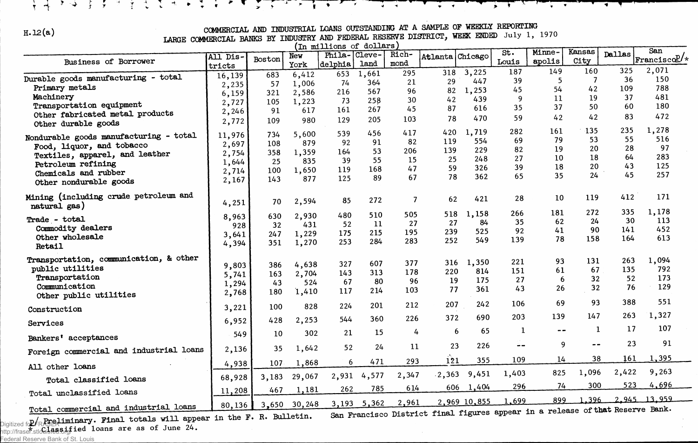# COMMERCIAL AND INDUSTRIAL LOANS OUTSTANDING AT A SAMPLE OF WEEKLY REPORTING<br>LARGE COMMERCIAL BANKS BY INDUSTRY AND FEDERAL RESERVE DISTRICT, WEEK ENDED July 1, 1970

 $\frac{1}{2}$   $\frac{1}{2}$ 

 $\mathbf{r}$  and  $\mathbf{r}$  and  $\mathbf{r}$  and  $\mathbf{r}$ 

 $\overline{\phantom{a}}$ 

ふけっき ときりきょうしゃ かたちょうし こしんきょういん

| In millions)<br>$\circ$ f<br>dollars]   |          |        |              |         |        |       |         |              |       |        |        |                                                                  |                      |
|-----------------------------------------|----------|--------|--------------|---------|--------|-------|---------|--------------|-------|--------|--------|------------------------------------------------------------------|----------------------|
|                                         | All Dis- |        | New          | Phila-  | Cleve- | Rich- | Atlanta | Chicago      | St.   | Minne- | Kansas | Dallas                                                           | San                  |
| Business of Borrower                    | tricts   | Boston | York         | delphia | land   | mond  |         |              | Louis | apolis | City   |                                                                  | $ $ Francisco $2$ /* |
|                                         | 16,139   | 683    | 6,412        | 653     | 1,661  | 295   | 318     | 3,225        | 187   | 149    | 160    | 325                                                              | 2,071                |
| Durable goods manufacturing - total     |          | 57     | 1,006        | 74      | 364    | 21    | 29      | 447          | 39    | 5      |        | 36                                                               | 150                  |
| Primary metals                          | 2,235    | 321    | 2,586        | 216     | 567    | 96    | 82      | 1,253        | 45    | 54     | 42     | 109                                                              | 788                  |
| Machinery                               | 6,159    |        |              | 73      | 258    | 30    | 42      | 439          | 9     | 11     | 19     | 37                                                               | 481                  |
| Transportation equipment                | 2,727    | 105    | 1,223<br>617 | 161     | 267    | 45    | 87      | 616          | 35    | 37     | 50     | 60                                                               | 180                  |
| Other fabricated metal products         | 2,246    | 91     |              |         |        | 103   | 78      | 470          | 59    | 42     | 42     | 83                                                               | 472                  |
| Other durable goods                     | 2,772    | 109    | 980          | 129     | 205    |       |         |              |       |        |        |                                                                  |                      |
|                                         | 11,976   | 734    | 5,600        | 539     | 456    | 417   | 420     | 1,719        | 282   | 161    | 135    | 235                                                              | 1,278                |
| Nondurable goods manufacturing - total  | 2,697    | 108    | 879          | 92      | 91     | 82    | 119     | 554          | 69    | 79     | 53     | 55                                                               | 516                  |
| Food, liquor, and tobacco               | 2,754    | 358    | 1,359        | 164     | 53     | 206   | 139     | 229          | 82    | 19     | 20     | 28                                                               | 97                   |
| Textiles, apparel, and leather          | 1,644    | 25     | 835          | 39      | 55     | 15    | 25      | 248          | 27    | 10     | 18     | 64                                                               | 283                  |
| Petroleum refining                      |          | 100    | 1,650        | 119     | 168    | 47    | 59      | 326          | 39    | 18     | 20     | 43                                                               | 125                  |
| Chemicals and rubber                    | 2,714    | 143    | 877          | 125     | 89     | 67    | 78      | 362          | 65    | 35     | 24     | 45                                                               | 257                  |
| Other nondurable goods                  | 2,167    |        |              |         |        |       |         |              |       |        |        |                                                                  |                      |
| Mining (including crude petroleum and   |          |        |              |         |        |       |         | 421          | 28    | 10     | 119    | 412                                                              | 171                  |
| natural gas)                            | 4,251    | 70     | 2,594        | 85      | 272    | 7     | 62      |              |       |        |        |                                                                  |                      |
|                                         | 8,963    | 630    | 2,930        | 480     | 510    | 505   | 518     | 1,158        | 266   | 181    | 272    | 335                                                              | 1,178                |
| Trade - total                           | 928      | 32     | 431          | 52      | 11     | 27    | 27      | 84           | 35    | 62     | 24     | 30                                                               | 113                  |
| Commodity dealers                       |          | 247    | 1,229        | 175     | 215    | 195   | 239     | 525          | 92    | 41     | 90     | 141                                                              | 452                  |
| Other wholesale                         | 3,641    | 351    | 1,270        | 253     | 284    | 283   | 252     | 549          | 139   | 78     | 158    | 164                                                              | 613                  |
| Retail                                  | 4,394    |        |              |         |        |       |         |              |       |        |        |                                                                  |                      |
| Transportation, communication, & other  |          |        |              |         |        |       |         |              | 221   | 93     | 131    | 263                                                              | 1,094                |
| public utilities                        | 9,803    | 386    | 4,638        | 327     | 607    | 377   | 316     | 1,350        | 151   | 61     | 67     | 135                                                              | 792                  |
| Transportation                          | 5,741    | 163    | 2,704        | 143     | 313    | 178   | 220     | 814          | 27    | 6      | 32     | 52                                                               | 173                  |
| Communication                           | 1,294    | 43     | 524          | 67      | 80     | 96    | 19      | 175          |       | 26     | 32     | 76                                                               | 129                  |
| Other public utilities                  | 2,768    | 180    | 1,410        | 117     | 214    | 103   | 77      | 361          | 43    |        |        |                                                                  |                      |
|                                         |          |        | 828          | 224     | 201    | 212   | 207     | 242          | 106   | 69     | 93     | 388                                                              | 551                  |
| Construction                            | 3,221    | 100    |              |         |        |       |         |              |       |        |        | 263                                                              | 1,327                |
| Services                                | 6,952    | 428    | 2,253        | 544     | 360    | 226   | 372     | 690          | 203   | 139    | 147    |                                                                  |                      |
|                                         | 549      | 10     | 302          | 21      | 15     | 4     | 6       | 65           | -1    | $ -$   | 1      | 17                                                               | 107                  |
| Bankers' acceptances                    |          |        |              |         |        |       |         |              |       |        |        | 23                                                               | 91                   |
| Foreign commercial and industrial loans | 2,136    | 35     | 1,642        | 52      | 24     | 11    | 23      | 226          | --    | 9      | $- -$  |                                                                  |                      |
|                                         |          | 107    | 1,868        | 6       | 471    | 293   | 121     | 355          | 109   | 14     | 38     | 161                                                              | 1,395                |
| All other loans                         | 4,938    |        |              |         |        |       |         |              |       | 825    | 1,096  | 2,422                                                            | 9,263                |
| Total classified loans                  | 68,928   | 3,183  | 29,067       | 2,931   | 4,577  | 2,347 | .2, 363 | 9,451        | 1,403 |        |        |                                                                  |                      |
| Total unclassified loans                | 11,208   | 467    | 1,181        | 262     | 785    | 614   | 606     | 1,404        | 296   | 74     | 300    | 523                                                              | 4,696                |
|                                         | 80,136   | 3,650  | 30,248       | 3,193   | 5,362  | 2,961 |         | 2,969 10,855 | 1,699 | 899    | .396   |                                                                  | 2.945 13.959         |
| Total commercial and industrial loans   |          |        |              |         |        |       |         |              |       |        |        | Disturbational figures appear in a release of that Reserve Bank. |                      |

**jy/ Preliminary. Final totals will appear in the F. R. Bulletin. \* classified loans are as of June 24.** Digitized for FRASER **San Francisco District final figures appear in a release of that Reserve Bank.** http://fraser.stlouisfed.org/

Federal Reserve Bank of St. Louis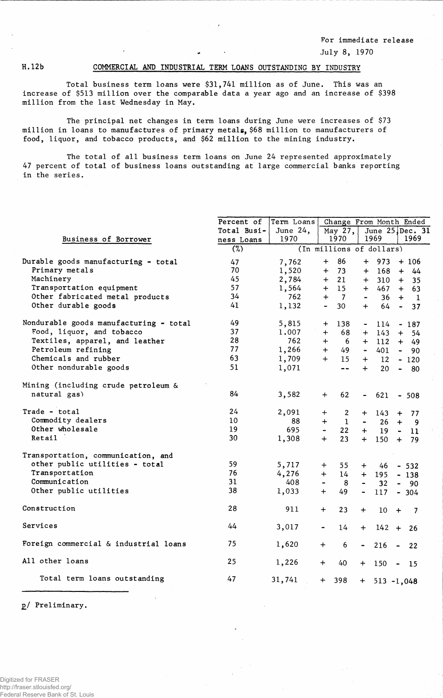**For immediate release July 8, 1970**

### **H. 12b COMMERCIAL AND INDUSTRIAL TERM LOANS OUTSTANDING BY INDUSTRY**

**Total business terra loans were \$31,741 million as of June. This was an increase of \$513 million over the comparable data a year ago and an increase of \$398 million from the last Wednesday in May.**

**The principal net changes in term loans during June were increases of \$73 million in loans to manufactures of primary metals, \$68 million to manufacturers of food, liquor, and tobacco products, and \$62 million to the mining industry.**

**The total of all business term loans on June 24 represented approximately 47 percent of total of business loans outstanding at large commercial banks reporting in the series.**

|                                        | Percent of  | Term Loans |                          | Change From Month Ended  |                              |                   |                       |                  |  |
|----------------------------------------|-------------|------------|--------------------------|--------------------------|------------------------------|-------------------|-----------------------|------------------|--|
|                                        | Total Busi- | June 24,   |                          | May 27,                  |                              | June $25$ Dec. 31 |                       |                  |  |
| Business of Borrower                   | ness Loans  | 1970       |                          | 1970                     |                              | 1969              |                       | 1969             |  |
|                                        | (%)         |            |                          | (In millions of dollars) |                              |                   |                       |                  |  |
| Durable goods manufacturing - total    | 47          | 7,762      | $+$                      | 86                       | $+$                          | 973               |                       | $+106$           |  |
| Primary metals                         | 70          | 1,520      | $+$                      | 73                       | $+$                          | 168               |                       | 44<br>$+$        |  |
| Machinery                              | 45          | 2,784      | $+$                      | 21                       | $+$                          | 310               | $+$                   | 35               |  |
| Transportation equipment               | 57          | 1,564      |                          | $+ 15$                   | $+$                          | $467 +$           |                       | 63               |  |
| Other fabricated metal products        | 34          | 762        | $+$                      | $\overline{7}$           | $\blacksquare$               |                   |                       | $36 + 1$         |  |
| Other durable goods                    | 41          | 1,132      | $\overline{\phantom{0}}$ | 30                       | $+$                          | 64                |                       | 37<br>$\sim$ $-$ |  |
| Nondurable goods manufacturing - total | 49          | 5,815      | $\ddot{}$                | 138                      | $\blacksquare$               | 114               |                       | $-187$           |  |
| Food, liquor, and tobacco              | 37          | 1.007      | $+$                      | 68                       | $+$                          | 143               | $+$                   | 54               |  |
| Textiles, apparel, and leather         | 28          | 762        | $+$                      | 6                        | $+$                          | $112 +$           |                       | 49               |  |
| Petroleum refining                     | 77          | 1,266      | $+$                      | 49                       | $\blacksquare$               | 401               | $\blacksquare$        | 90               |  |
| Chemicals and rubber                   | 63          | 1,709      | $+$                      | 15                       | $+$                          | 12                |                       | $-120$           |  |
| Other nondurable goods                 | 51          | 1,071      |                          | $ -$                     | $+$                          | 20                | $\blacksquare$        | - 80             |  |
| Mining (including crude petroleum &    |             |            |                          |                          |                              |                   |                       |                  |  |
| natural gas)                           | 84          | 3,582      | $\ddot{}$                | 62                       | $\blacksquare$               | 621               |                       | $-508$           |  |
| Trade - total                          | 24          | 2,091      | $+$                      | $\overline{2}$           | $+$                          | 143               | $\ddot{}$             | 77               |  |
| Commodity dealers                      | 10          | 88         | $\div$                   | $\mathbf{1}$             | $\blacksquare$               | 26                | $\ddot{}$             | 9                |  |
| Other wholesale                        | 19          | 695        |                          | 22 <sub>2</sub>          | $+$                          | 19                | $\tilde{\phantom{a}}$ | 11               |  |
| Retail                                 | 30          | 1,308      | $+$                      | 23                       | $+$                          | 150               | $+$                   | 79               |  |
| Transportation, communication, and     |             |            |                          |                          |                              |                   |                       |                  |  |
| other public utilities - total         | 59          | 5,717      | $+$                      | 55                       | $+$                          | 46                |                       | $-532$           |  |
| Transportation                         | 76          | 4,276      | $+$                      | 14                       | $+$                          | 195               |                       | $-138$           |  |
| Communication                          | 31          | 408        |                          | 8                        | $\blacksquare$               | 32                |                       | $-90$            |  |
| Other public utilities                 | 38          | 1,033      | $+$                      | 49                       | $\qquad \qquad \blacksquare$ | 117               |                       | $-304$           |  |
| Construction                           | 28          | 911        | $+$                      | 23                       | $+$                          | 10                | $+$                   | 7                |  |
| Services                               | 44          | 3,017      |                          | 14                       | $+$                          | $142 +$           |                       | 26               |  |
| Foreign commercial & industrial loans  | 75          | 1,620      | $\ddot{}$                | 6                        | $\blacksquare$               | 216               | $\blacksquare$        | 22               |  |
| All other loans                        | 25          | 1,226      | $\div$                   | 40                       | $+$                          | 150               | $\blacksquare$        | - 15             |  |
| Total term loans outstanding           | 47          | 31,741     | $+$                      | 398                      |                              | $+ 513 - 1,048$   |                       |                  |  |
|                                        |             |            |                          |                          |                              |                   |                       |                  |  |

**£/ Preliminary.**